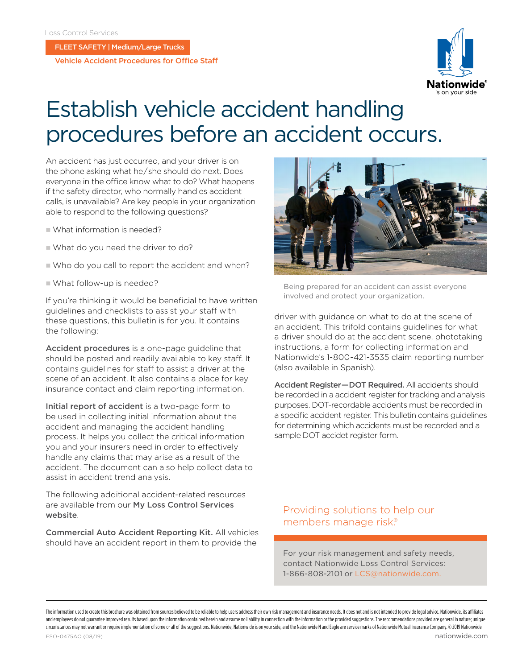FLEET SAFETY | Medium/Large Trucks

Vehicle Accident Procedures for Office Staff



# Establish vehicle accident handling procedures before an accident occurs.

An accident has just occurred, and your driver is on the phone asking what he / she should do next. Does everyone in the office know what to do? What happens if the safety director, who normally handles accident calls, is unavailable? Are key people in your organization able to respond to the following questions?

- What information is needed?
- What do you need the driver to do?
- Who do you call to report the accident and when?
- What follow-up is needed?

If you're thinking it would be beneficial to have written guidelines and checklists to assist your staff with these questions, this bulletin is for you. It contains the following:

Accident procedures is a one-page guideline that should be posted and readily available to key staff. It contains guidelines for staff to assist a driver at the scene of an accident. It also contains a place for key insurance contact and claim reporting information.

Initial report of accident is a two-page form to be used in collecting initial information about the accident and managing the accident handling process. It helps you collect the critical information you and your insurers need in order to effectively handle any claims that may arise as a result of the accident. The document can also help collect data to assist in accident trend analysis.

The following additional accident-related resources are available from our [My Loss Control Services](https://www.mylosscontrolservices.com/)  [website](https://www.mylosscontrolservices.com/).

Commercial Auto Accident Reporting Kit. All vehicles should have an accident report in them to provide the



Being prepared for an accident can assist everyone involved and protect your organization.

driver with guidance on what to do at the scene of an accident. This trifold contains guidelines for what a driver should do at the accident scene, phototaking instructions, a form for collecting information and Nationwide's 1-800-421-3535 claim reporting number (also available in Spanish).

Accident Register — DOT Required. All accidents should be recorded in a accident register for tracking and analysis purposes. DOT-recordable accidents must be recorded in a specific accident register. This bulletin contains guidelines for determining which accidents must be recorded and a sample DOT accidet register form.

Providing solutions to help our members manage risk.®

For your risk management and safety needs, contact Nationwide Loss Control Services: 1-866-808-2101 or [LCS@nationwide.com](Mailto:LCS@nationwide.com).

The information uted to create this brochure was obtained from sources believed to be reliable to help users address their own risk management and insurance needs. It does not and it sout on the plot leads a shire was blai and employees do not quarantee improved results based upon the information contained herein and assume no liability in connection with the information or the provided suggestions. The recommendations provided are general i circumstances may not warrant or require implementation of some or all of the suggestions. Nationwide, Nationwide is on your side, and the Nationwide N and Eagle are service marks of Nationwide Mutual Insurance Company. © ESO-0475AO (08/19) nationwide.com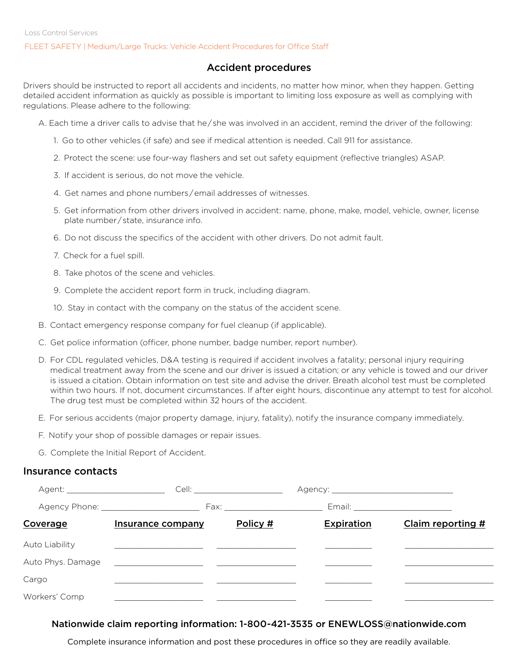#### FLEET SAFETY | Medium/Large Trucks: Vehicle Accident Procedures for Office Staff

### Accident procedures

Drivers should be instructed to report all accidents and incidents, no matter how minor, when they happen. Getting detailed accident information as quickly as possible is important to limiting loss exposure as well as complying with regulations. Please adhere to the following:

- A. Each time a driver calls to advise that he / she was involved in an accident, remind the driver of the following:
	- 1. Go to other vehicles (if safe) and see if medical attention is needed. Call 911 for assistance.
	- 2. Protect the scene: use four-way flashers and set out safety equipment (reflective triangles) ASAP.
	- 3. If accident is serious, do not move the vehicle.
	- 4. Get names and phone numbers / email addresses of witnesses.
	- 5. Get information from other drivers involved in accident: name, phone, make, model, vehicle, owner, license plate number / state, insurance info.
	- 6. Do not discuss the specifics of the accident with other drivers. Do not admit fault.
	- 7. Check for a fuel spill.
	- 8. Take photos of the scene and vehicles.
	- 9. Complete the accident report form in truck, including diagram.
	- 10. Stay in contact with the company on the status of the accident scene.
- B. Contact emergency response company for fuel cleanup (if applicable).
- C. Get police information (officer, phone number, badge number, report number).
- D. For CDL regulated vehicles, D&A testing is required if accident involves a fatality; personal injury requiring medical treatment away from the scene and our driver is issued a citation; or any vehicle is towed and our driver is issued a citation. Obtain information on test site and advise the driver. Breath alcohol test must be completed within two hours. If not, document circumstances. If after eight hours, discontinue any attempt to test for alcohol. The drug test must be completed within 32 hours of the accident.
- E. For serious accidents (major property damage, injury, fatality), notify the insurance company immediately.
- F. Notify your shop of possible damages or repair issues.
- G. Complete the Initial Report of Accident.

#### Insurance contacts

| Agent: __________________________ |                                               |          |                   |                                    |
|-----------------------------------|-----------------------------------------------|----------|-------------------|------------------------------------|
|                                   |                                               |          |                   | Email: ___________________________ |
| <b>Coverage</b>                   | Insurance company                             | Policy # | <b>Expiration</b> | Claim reporting #                  |
| Auto Liability                    |                                               |          |                   |                                    |
| Auto Phys. Damage                 | <u> 1980 - Andrea Andrew Maria (h. 1980).</u> |          |                   |                                    |
| Cargo                             |                                               |          |                   |                                    |
| Workers' Comp                     |                                               |          |                   |                                    |

#### Nationwide claim reporting information: 1-800-421-3535 or ENEWLOSS@nationwide.com

Complete insurance information and post these procedures in office so they are readily available.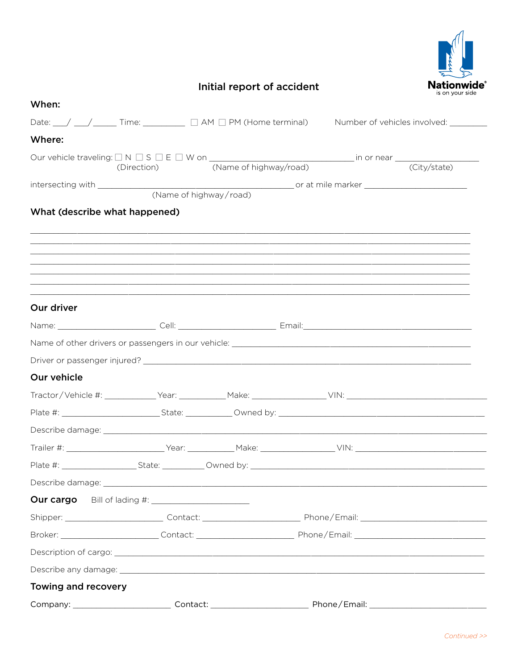

# Initial report of accident

| When:                         |                                                                                              |                                       |
|-------------------------------|----------------------------------------------------------------------------------------------|---------------------------------------|
|                               | Date: $\angle$ $\angle$ $\angle$ $\angle$ Time: $\angle$ $\Box$ AM $\Box$ PM (Home terminal) | Number of vehicles involved: ________ |
| Where:                        |                                                                                              |                                       |
|                               |                                                                                              |                                       |
|                               |                                                                                              |                                       |
|                               | (Name of highway/road)                                                                       |                                       |
| What (describe what happened) |                                                                                              |                                       |
|                               |                                                                                              |                                       |
|                               |                                                                                              |                                       |
|                               |                                                                                              |                                       |
|                               |                                                                                              |                                       |
|                               |                                                                                              |                                       |
| Our driver                    |                                                                                              |                                       |
|                               |                                                                                              |                                       |
|                               |                                                                                              |                                       |
|                               |                                                                                              |                                       |
| Our vehicle                   |                                                                                              |                                       |
|                               |                                                                                              |                                       |
|                               |                                                                                              |                                       |
|                               |                                                                                              |                                       |
|                               |                                                                                              |                                       |
|                               |                                                                                              |                                       |
|                               |                                                                                              |                                       |
|                               |                                                                                              |                                       |
|                               |                                                                                              |                                       |
|                               |                                                                                              |                                       |
|                               |                                                                                              |                                       |
|                               |                                                                                              |                                       |
| Towing and recovery           |                                                                                              |                                       |
|                               |                                                                                              |                                       |